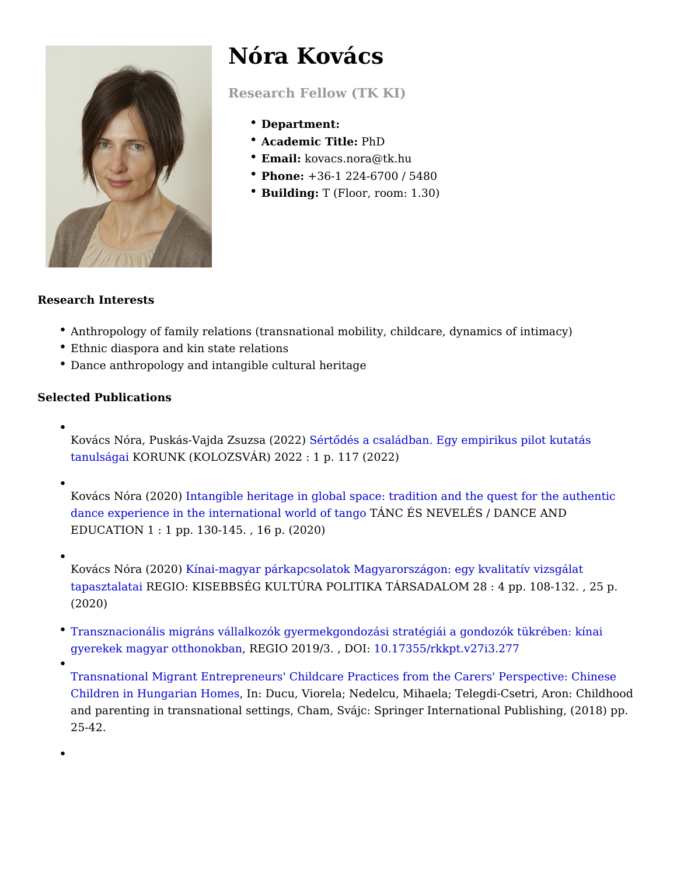## Nóra Kovács

Research Fellow (TK KI)

- Department:
- Academic TitlPehD
- Email: kovacs.nora@tk.hu
- Phone: +36-1 224-6700 / 5480
- \* BuildingT (Floor, room: 1.30)

Research Interests

- Anthropology of family relations (transnational mobility, childcare, dynamics
- Ethnic diaspora and kin state relations
- Dance anthropology and intangible cultural heritage

Selected Publications

- Kovács Nóra, Puskás-Vajda Zs&**žsaQ(déos 2)** családban. Egy empirikus pilot kut  $t$ anulság $\&$  ORUNK (KOLOZSVÁR) 2022 : 1 p. 117 (2022)
- Kovács Nóra (2002@hgible heritage in global space: tradition and the quest fo [dance experience in the international](https://ojs.mtak.hu/index.php/tanc_es_neveles/article/view/2555)  $\overline{w}$ ÁNC  $\overline{w}$ fSt $\overline{w}$ HEgVoELÉS / DANCE AND EDUCATION 1 : 1 pp. 130-145. , 16 p. (2020)
- Kovács Nóra (210í2h0a)i-magyar párkapcsolatok Magyarországon: egy kvalitatív v [tapasztal](https://regio.tk.mta.hu/index.php/regio/article/view/333)a**R**ÆGIO: KISEBBSÉG KULTÚRA POLITIKA TÁRSADALOM 28 : 4 pp. 1 (2020)
- [Transznacionális migráns vállalkozók gyermekgondozási stratégiái a](https://regio.tk.mta.hu/index.php/regio/article/view/277/pdf_255) gondozó [gyerekek magyar ottho](https://regio.tk.mta.hu/index.php/regio/article/view/277/pdf_255)nrok Enne 2019/3. 10D 07855/rkkpt.v27i3.277
	- [Transnational Migrant Entrepreneurs' Childcare Practices from the Ca](https://link.springer.com/chapter/10.1007/978-3-319-90942-4_3)rers' P [Children in Hungarian](https://link.springer.com/chapter/10.1007/978-3-319-90942-4_3), HomDscu, Viorela; Nedelcu, Mihaela; Telegdi-Csetri, A and parenting in transnational settings, Cham, Svájc: Springer International 25-42.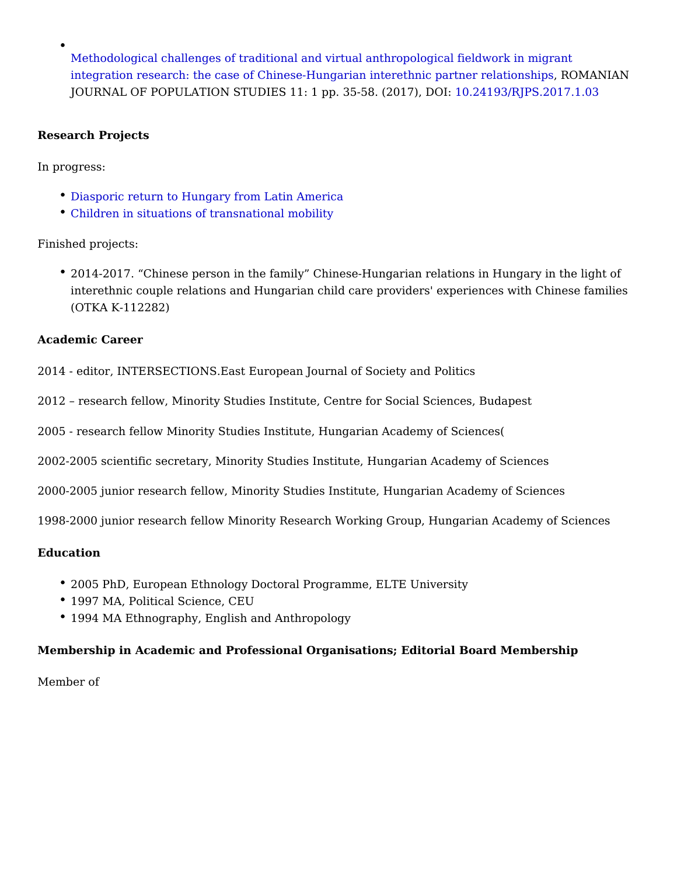[Methodological challenges of traditional and virtual anthropolog](http://real.mtak.hu/64147/1/rjps_kovacs_nora.pdf)ical fieldwor [integration research: the case of Chinese-Hungarian intereth](http://real.mtak.hu/64147/1/rjps_kovacs_nora.pdf)ni R Q MAN&ANela JOURNAL OF POPULATION STUDIES 11: 1 pp. 3545824(29031/R)J FDSO 2.017.1.03

Research Projects

In progress:

- [Diasporic return to Hungary from L](/en/diasporic-return-to-hungary-from-latin-america)atin America
- [Children in situations of transnat](/en/children-in-situations-of-transnational-mobility)ional mobility

Finished projects:

• 2014-2017. Chinese person in the family Chinese-Hungarian relations in Hu interethnic couple relations and Hungarian child care providers' experiences (OTKA K-112282)

Academic Career

2014 - editor, INTERSECTIONS.East European Journal of Society and Politics

2012 research fellow, Minority Studies Institute, Centre for Social Sciences, Bu

2005 - research fellow Minority Studies Institute, Hungarian Academy of Science

2002-2005 scientific secretary, Minority Studies Institute, Hungarian Academy of

2000-2005 junior research fellow, Minority Studies Institute, Hungarian Academy

1998-2000 junior research fellow Minority Research Working Group, Hungarian A

Education

- 2005 PhD, European Ethnology Doctoral Programme, ELTE University
- 1997 MA, Political Science, CEU
- 1994 MA Ethnography, English and Anthropology

Membership in Academic and Professional Organisations; Editorial Board Member

Member of